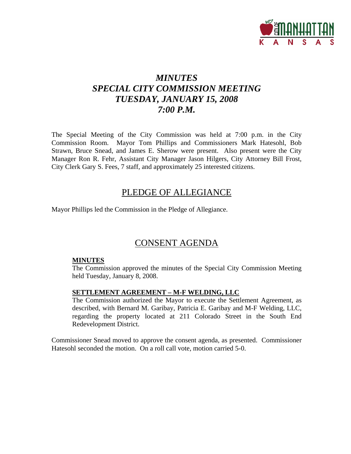

# *MINUTES SPECIAL CITY COMMISSION MEETING TUESDAY, JANUARY 15, 2008 7:00 P.M.*

The Special Meeting of the City Commission was held at 7:00 p.m. in the City Commission Room. Mayor Tom Phillips and Commissioners Mark Hatesohl, Bob Strawn, Bruce Snead, and James E. Sherow were present. Also present were the City Manager Ron R. Fehr, Assistant City Manager Jason Hilgers, City Attorney Bill Frost, City Clerk Gary S. Fees, 7 staff, and approximately 25 interested citizens.

# PLEDGE OF ALLEGIANCE

Mayor Phillips led the Commission in the Pledge of Allegiance.

# CONSENT AGENDA

#### **MINUTES**

The Commission approved the minutes of the Special City Commission Meeting held Tuesday, January 8, 2008.

#### **SETTLEMENT AGREEMENT – M-F WELDING, LLC**

The Commission authorized the Mayor to execute the Settlement Agreement, as described, with Bernard M. Garibay, Patricia E. Garibay and M-F Welding, LLC, regarding the property located at 211 Colorado Street in the South End Redevelopment District.

Commissioner Snead moved to approve the consent agenda, as presented. Commissioner Hatesohl seconded the motion. On a roll call vote, motion carried 5-0.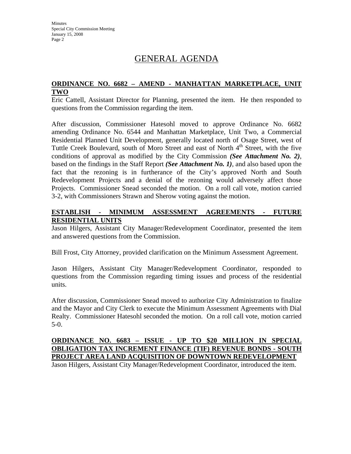# GENERAL AGENDA

### **ORDINANCE NO. 6682 – AMEND - MANHATTAN MARKETPLACE, UNIT TWO**

Eric Cattell, Assistant Director for Planning, presented the item. He then responded to questions from the Commission regarding the item.

After discussion, Commissioner Hatesohl moved to approve Ordinance No. 6682 amending Ordinance No. 6544 and Manhattan Marketplace, Unit Two, a Commercial Residential Planned Unit Development, generally located north of Osage Street, west of Tuttle Creek Boulevard, south of Moro Street and east of North 4<sup>th</sup> Street, with the five conditions of approval as modified by the City Commission *(See Attachment No. 2)*, based on the findings in the Staff Report *(See Attachment No. 1)*, and also based upon the fact that the rezoning is in furtherance of the City's approved North and South Redevelopment Projects and a denial of the rezoning would adversely affect those Projects. Commissioner Snead seconded the motion. On a roll call vote, motion carried 3-2, with Commissioners Strawn and Sherow voting against the motion.

#### **ESTABLISH - MINIMUM ASSESSMENT AGREEMENTS - FUTURE RESIDENTIAL UNITS**

Jason Hilgers, Assistant City Manager/Redevelopment Coordinator, presented the item and answered questions from the Commission.

Bill Frost, City Attorney, provided clarification on the Minimum Assessment Agreement.

Jason Hilgers, Assistant City Manager/Redevelopment Coordinator, responded to questions from the Commission regarding timing issues and process of the residential units.

After discussion, Commissioner Snead moved to authorize City Administration to finalize and the Mayor and City Clerk to execute the Minimum Assessment Agreements with Dial Realty. Commissioner Hatesohl seconded the motion. On a roll call vote, motion carried 5-0.

## **ORDINANCE NO. 6683 – ISSUE - UP TO \$20 MILLION IN SPECIAL OBLIGATION TAX INCREMENT FINANCE (TIF) REVENUE BONDS - SOUTH PROJECT AREA LAND ACQUISITION OF DOWNTOWN REDEVELOPMENT**

Jason Hilgers, Assistant City Manager/Redevelopment Coordinator, introduced the item.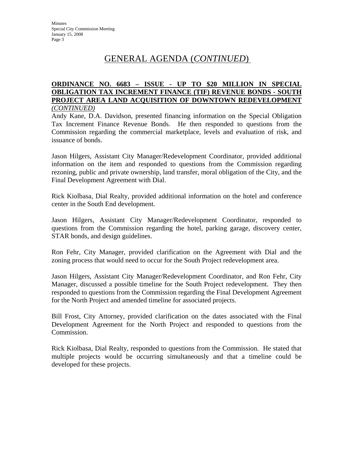# GENERAL AGENDA (*CONTINUED*)

#### **ORDINANCE NO. 6683 – ISSUE - UP TO \$20 MILLION IN SPECIAL OBLIGATION TAX INCREMENT FINANCE (TIF) REVENUE BONDS - SOUTH PROJECT AREA LAND ACQUISITION OF DOWNTOWN REDEVELOPMENT**  *(CONTINUED)*

Andy Kane, D.A. Davidson, presented financing information on the Special Obligation Tax Increment Finance Revenue Bonds. He then responded to questions from the Commission regarding the commercial marketplace, levels and evaluation of risk, and issuance of bonds.

Jason Hilgers, Assistant City Manager/Redevelopment Coordinator, provided additional information on the item and responded to questions from the Commission regarding rezoning, public and private ownership, land transfer, moral obligation of the City, and the Final Development Agreement with Dial.

Rick Kiolbasa, Dial Realty, provided additional information on the hotel and conference center in the South End development.

Jason Hilgers, Assistant City Manager/Redevelopment Coordinator, responded to questions from the Commission regarding the hotel, parking garage, discovery center, STAR bonds, and design guidelines.

Ron Fehr, City Manager, provided clarification on the Agreement with Dial and the zoning process that would need to occur for the South Project redevelopment area.

Jason Hilgers, Assistant City Manager/Redevelopment Coordinator, and Ron Fehr, City Manager, discussed a possible timeline for the South Project redevelopment. They then responded to questions from the Commission regarding the Final Development Agreement for the North Project and amended timeline for associated projects.

Bill Frost, City Attorney, provided clarification on the dates associated with the Final Development Agreement for the North Project and responded to questions from the Commission.

Rick Kiolbasa, Dial Realty, responded to questions from the Commission. He stated that multiple projects would be occurring simultaneously and that a timeline could be developed for these projects.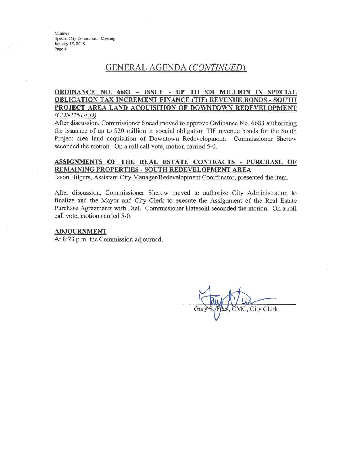## **GENERAL AGENDA (CONTINUED)**

#### ORDINANCE NO. 6683 - ISSUE - UP TO \$20 MILLION IN SPECIAL **OBLIGATION TAX INCREMENT FINANCE (TIF) REVENUE BONDS - SOUTH** PROJECT AREA LAND ACQUISITION OF DOWNTOWN REDEVELOPMENT (CONTINUED)

After discussion, Commissioner Snead moved to approve Ordinance No. 6683 authorizing the issuance of up to \$20 million in special obligation TIF revenue bonds for the South Project area land acquisition of Downtown Redevelopment. Commissioner Sherow seconded the motion. On a roll call vote, motion carried 5-0.

#### ASSIGNMENTS OF THE REAL ESTATE CONTRACTS - PURCHASE OF REMAINING PROPERTIES - SOUTH REDEVELOPMENT AREA

Jason Hilgers, Assistant City Manager/Redevelopment Coordinator, presented the item.

After discussion, Commissioner Sherow moved to authorize City Administration to finalize and the Mayor and City Clerk to execute the Assignment of the Real Estate Purchase Agreements with Dial. Commissioner Hatesohl seconded the motion. On a roll call vote, motion carried 5-0.

#### **ADJOURNMENT**

At 8:23 p.m. the Commission adjourned.

MC, City Clerk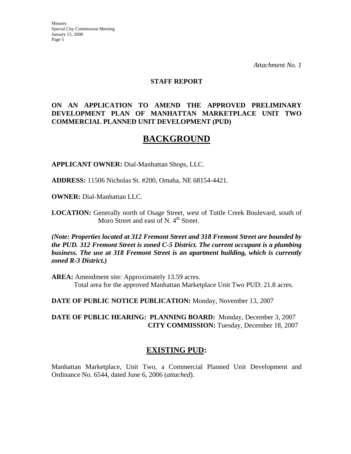*Attachment No. 1*

#### **STAFF REPORT**

#### **ON AN APPLICATION TO AMEND THE APPROVED PRELIMINARY DEVELOPMENT PLAN OF MANHATTAN MARKETPLACE UNIT TWO COMMERCIAL PLANNED UNIT DEVELOPMENT (PUD)**

# **BACKGROUND**

**APPLICANT OWNER:** Dial-Manhattan Shops, LLC.

**ADDRESS:** 11506 Nicholas St. #200, Omaha, NE 68154-4421.

**OWNER:** Dial-Manhattan LLC.

**LOCATION:** Generally north of Osage Street, west of Tuttle Creek Boulevard, south of Moro Street and east of N.  $4<sup>th</sup>$  Street.

*(Note: Properties located at 312 Fremont Street and 318 Fremont Street are bounded by the PUD. 312 Fremont Street is zoned C-5 District. The current occupant is a plumbing business. The use at 318 Fremont Street is an apartment building, which is currently zoned R-3 District.)*

**AREA:** Amendment site: Approximately 13.59 acres. Total area for the approved Manhattan Marketplace Unit Two PUD: 21.8 acres.

**DATE OF PUBLIC NOTICE PUBLICATION:** Monday, November 13, 2007

**DATE OF PUBLIC HEARING: PLANNING BOARD:** Monday, December 3, 2007 **CITY COMMISSION:** Tuesday, December 18, 2007

## **EXISTING PUD:**

Manhattan Marketplace, Unit Two, a Commercial Planned Unit Development and Ordinance No. 6544, dated June 6, 2006 (*attached*).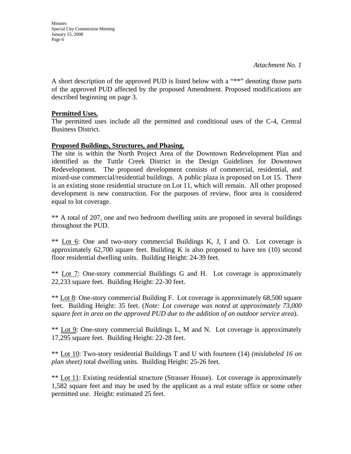**Minutes** Special City Commission Meeting January 15, 2008 Page 6

A short description of the approved PUD is listed below with a "\*\*" denoting those parts of the approved PUD affected by the proposed Amendment. Proposed modifications are described beginning on page 3.

#### **Permitted Uses.**

The permitted uses include all the permitted and conditional uses of the C-4, Central Business District.

#### **Proposed Buildings, Structures, and Phasing.**

The site is within the North Project Area of the Downtown Redevelopment Plan and identified as the Tuttle Creek District in the Design Guidelines for Downtown Redevelopment. The proposed development consists of commercial, residential, and mixed-use commercial/residential buildings. A public plaza is proposed on Lot 15. There is an existing stone residential structure on Lot 11, which will remain. All other proposed development is new construction. For the purposes of review, floor area is considered equal to lot coverage.

\*\* A total of 207, one and two bedroom dwelling units are proposed in several buildings throughout the PUD.

\*\* Lot 6: One and two-story commercial Buildings K, J, I and O. Lot coverage is approximately  $62,700$  square feet. Building K is also proposed to have ten  $(10)$  second floor residential dwelling units. Building Height: 24-39 feet.

\*\* Lot 7: One-story commercial Buildings G and H. Lot coverage is approximately 22,233 square feet. Building Height: 22-30 feet.

\*\* Lot 8: One-story commercial Building F. Lot coverage is approximately 68,500 square feet. Building Height: 35 feet. (*Note: Lot coverage was noted at approximately 73,000 square feet in area on the approved PUD due to the addition of an outdoor service area*).

\*\* Lot 9: One-story commercial Buildings L, M and N. Lot coverage is approximately 17,295 square feet. Building Height: 22-28 feet.

\*\* Lot 10: Two-story residential Buildings T and U with fourteen (14) *(mislabeled 16 on plan sheet)* total dwelling units. Building Height: 25-26 feet.

\*\* Lot 11: Existing residential structure (Strasser House). Lot coverage is approximately 1,582 square feet and may be used by the applicant as a real estate office or some other permitted use. Height: estimated 25 feet.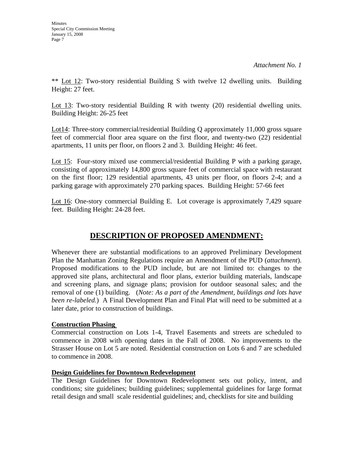\*\* Lot 12: Two-story residential Building S with twelve 12 dwelling units. Building Height: 27 feet.

Lot 13: Two-story residential Building R with twenty (20) residential dwelling units. Building Height: 26-25 feet

Lot14: Three-story commercial/residential Building Q approximately 11,000 gross square feet of commercial floor area square on the first floor, and twenty-two (22) residential apartments, 11 units per floor, on floors 2 and 3. Building Height: 46 feet.

Lot 15: Four-story mixed use commercial/residential Building P with a parking garage, consisting of approximately 14,800 gross square feet of commercial space with restaurant on the first floor; 129 residential apartments, 43 units per floor, on floors 2-4; and a parking garage with approximately 270 parking spaces. Building Height: 57-66 feet

Lot 16: One-story commercial Building E. Lot coverage is approximately 7,429 square feet. Building Height: 24-28 feet.

# **DESCRIPTION OF PROPOSED AMENDMENT:**

Whenever there are substantial modifications to an approved Preliminary Development Plan the Manhattan Zoning Regulations require an Amendment of the PUD (*attachment*). Proposed modifications to the PUD include, but are not limited to: changes to the approved site plans, architectural and floor plans, exterior building materials, landscape and screening plans, and signage plans; provision for outdoor seasonal sales; and the removal of one (1) building. (*Note: As a part of the Amendment, buildings and lots have been re-labeled*.) A Final Development Plan and Final Plat will need to be submitted at a later date, prior to construction of buildings.

## **Construction Phasing**

Commercial construction on Lots 1-4, Travel Easements and streets are scheduled to commence in 2008 with opening dates in the Fall of 2008. No improvements to the Strasser House on Lot 5 are noted. Residential construction on Lots 6 and 7 are scheduled to commence in 2008.

#### **Design Guidelines for Downtown Redevelopment**

The Design Guidelines for Downtown Redevelopment sets out policy, intent, and conditions; site guidelines; building guidelines; supplemental guidelines for large format retail design and small scale residential guidelines; and, checklists for site and building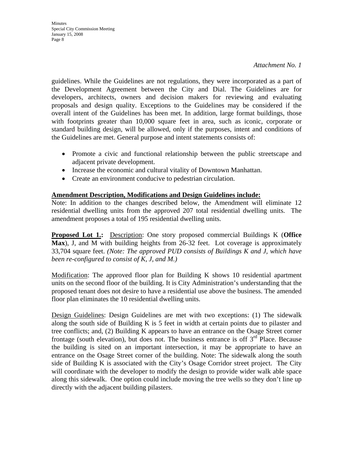*Attachment No. 1*

guidelines. While the Guidelines are not regulations, they were incorporated as a part of the Development Agreement between the City and Dial. The Guidelines are for developers, architects, owners and decision makers for reviewing and evaluating proposals and design quality. Exceptions to the Guidelines may be considered if the overall intent of the Guidelines has been met. In addition, large format buildings, those with footprints greater than 10,000 square feet in area, such as iconic, corporate or standard building design, will be allowed, only if the purposes, intent and conditions of the Guidelines are met. General purpose and intent statements consists of:

- Promote a civic and functional relationship between the public streetscape and adjacent private development.
- Increase the economic and cultural vitality of Downtown Manhattan.
- Create an environment conducive to pedestrian circulation.

### **Amendment Description, Modifications and Design Guidelines include:**

Note: In addition to the changes described below, the Amendment will eliminate 12 residential dwelling units from the approved 207 total residential dwelling units. The amendment proposes a total of 195 residential dwelling units.

**Proposed Lot 1.:** Description: One story proposed commercial Buildings K (**Office Max**), J, and M with building heights from 26-32 feet. Lot coverage is approximately 33,704 square feet. *(Note: The approved PUD consists of Buildings K and J, which have been re-configured to consist of K, J, and M.)* 

Modification: The approved floor plan for Building K shows 10 residential apartment units on the second floor of the building. It is City Administration's understanding that the proposed tenant does not desire to have a residential use above the business. The amended floor plan eliminates the 10 residential dwelling units.

Design Guidelines: Design Guidelines are met with two exceptions: (1) The sidewalk along the south side of Building K is 5 feet in width at certain points due to pilaster and tree conflicts; and, (2) Building K appears to have an entrance on the Osage Street corner frontage (south elevation), but does not. The business entrance is off  $3<sup>rd</sup>$  Place. Because the building is sited on an important intersection, it may be appropriate to have an entrance on the Osage Street corner of the building. Note: The sidewalk along the south side of Building K is associated with the City's Osage Corridor street project. The City will coordinate with the developer to modify the design to provide wider walk able space along this sidewalk. One option could include moving the tree wells so they don't line up directly with the adjacent building pilasters.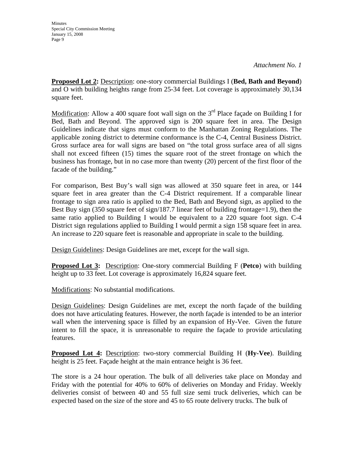*Attachment No. 1*

**Proposed Lot 2:** Description: one-story commercial Buildings I (**Bed, Bath and Beyond**) and O with building heights range from 25-34 feet. Lot coverage is approximately 30,134 square feet.

Modification: Allow a 400 square foot wall sign on the  $3<sup>rd</sup>$  Place façade on Building I for Bed, Bath and Beyond. The approved sign is 200 square feet in area. The Design Guidelines indicate that signs must conform to the Manhattan Zoning Regulations. The applicable zoning district to determine conformance is the C-4, Central Business District. Gross surface area for wall signs are based on "the total gross surface area of all signs shall not exceed fifteen (15) times the square root of the street frontage on which the business has frontage, but in no case more than twenty (20) percent of the first floor of the facade of the building."

For comparison, Best Buy's wall sign was allowed at 350 square feet in area, or 144 square feet in area greater than the C-4 District requirement. If a comparable linear frontage to sign area ratio is applied to the Bed, Bath and Beyond sign, as applied to the Best Buy sign (350 square feet of sign/187.7 linear feet of building frontage=1.9), then the same ratio applied to Building I would be equivalent to a 220 square foot sign. C-4 District sign regulations applied to Building I would permit a sign 158 square feet in area. An increase to 220 square feet is reasonable and appropriate in scale to the building.

Design Guidelines: Design Guidelines are met, except for the wall sign.

**Proposed Lot 3:** Description: One-story commercial Building F (**Petco**) with building height up to 33 feet. Lot coverage is approximately 16,824 square feet.

Modifications: No substantial modifications.

Design Guidelines: Design Guidelines are met, except the north façade of the building does not have articulating features. However, the north façade is intended to be an interior wall when the intervening space is filled by an expansion of Hy-Vee. Given the future intent to fill the space, it is unreasonable to require the façade to provide articulating features.

**Proposed Lot 4:** Description: two-story commercial Building H (**Hy-Vee**). Building height is 25 feet. Façade height at the main entrance height is 36 feet.

The store is a 24 hour operation. The bulk of all deliveries take place on Monday and Friday with the potential for 40% to 60% of deliveries on Monday and Friday. Weekly deliveries consist of between 40 and 55 full size semi truck deliveries, which can be expected based on the size of the store and 45 to 65 route delivery trucks. The bulk of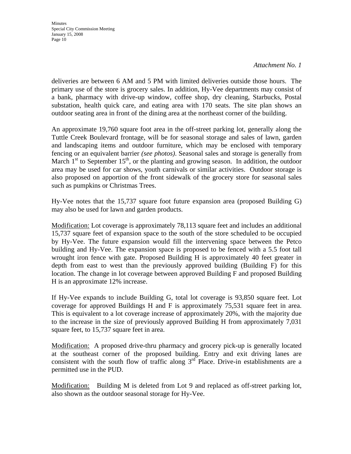*Attachment No. 1*

deliveries are between 6 AM and 5 PM with limited deliveries outside those hours. The primary use of the store is grocery sales. In addition, Hy-Vee departments may consist of a bank, pharmacy with drive-up window, coffee shop, dry cleaning, Starbucks, Postal substation, health quick care, and eating area with 170 seats. The site plan shows an outdoor seating area in front of the dining area at the northeast corner of the building.

An approximate 19,760 square foot area in the off-street parking lot, generally along the Tuttle Creek Boulevard frontage, will be for seasonal storage and sales of lawn, garden and landscaping items and outdoor furniture, which may be enclosed with temporary fencing or an equivalent barrier *(see photos)*. Seasonal sales and storage is generally from March  $1<sup>st</sup>$  to September  $15<sup>th</sup>$ , or the planting and growing season. In addition, the outdoor area may be used for car shows, youth carnivals or similar activities. Outdoor storage is also proposed on apportion of the front sidewalk of the grocery store for seasonal sales such as pumpkins or Christmas Trees.

Hy-Vee notes that the 15,737 square foot future expansion area (proposed Building G) may also be used for lawn and garden products.

Modification: Lot coverage is approximately 78,113 square feet and includes an additional 15,737 square feet of expansion space to the south of the store scheduled to be occupied by Hy-Vee. The future expansion would fill the intervening space between the Petco building and Hy-Vee. The expansion space is proposed to be fenced with a 5.5 foot tall wrought iron fence with gate. Proposed Building H is approximately 40 feet greater in depth from east to west than the previously approved building (Building F) for this location. The change in lot coverage between approved Building F and proposed Building H is an approximate 12% increase.

If Hy-Vee expands to include Building G, total lot coverage is 93,850 square feet. Lot coverage for approved Buildings H and F is approximately 75,531 square feet in area. This is equivalent to a lot coverage increase of approximately 20%, with the majority due to the increase in the size of previously approved Building H from approximately 7,031 square feet, to 15,737 square feet in area.

Modification: A proposed drive-thru pharmacy and grocery pick-up is generally located at the southeast corner of the proposed building. Entry and exit driving lanes are consistent with the south flow of traffic along  $3<sup>rd</sup>$  Place. Drive-in establishments are a permitted use in the PUD.

Modification: Building M is deleted from Lot 9 and replaced as off-street parking lot, also shown as the outdoor seasonal storage for Hy-Vee.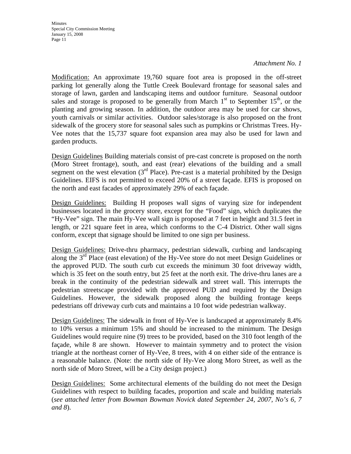#### *Attachment No. 1*

Modification: An approximate 19,760 square foot area is proposed in the off-street parking lot generally along the Tuttle Creek Boulevard frontage for seasonal sales and storage of lawn, garden and landscaping items and outdoor furniture. Seasonal outdoor sales and storage is proposed to be generally from March  $1<sup>st</sup>$  to September  $15<sup>th</sup>$ , or the planting and growing season. In addition, the outdoor area may be used for car shows, youth carnivals or similar activities. Outdoor sales/storage is also proposed on the front sidewalk of the grocery store for seasonal sales such as pumpkins or Christmas Trees. Hy-Vee notes that the 15,737 square foot expansion area may also be used for lawn and garden products.

Design Guidelines Building materials consist of pre-cast concrete is proposed on the north (Moro Street frontage), south, and east (rear) elevations of the building and a small segment on the west elevation  $3<sup>rd</sup>$  Place). Pre-cast is a material prohibited by the Design Guidelines. EIFS is not permitted to exceed 20% of a street façade. EFIS is proposed on the north and east facades of approximately 29% of each façade.

Design Guidelines: Building H proposes wall signs of varying size for independent businesses located in the grocery store, except for the "Food" sign, which duplicates the "Hy-Vee" sign. The main Hy-Vee wall sign is proposed at 7 feet in height and 31.5 feet in length, or 221 square feet in area, which conforms to the C-4 District. Other wall signs conform, except that signage should be limited to one sign per business.

Design Guidelines: Drive-thru pharmacy, pedestrian sidewalk, curbing and landscaping along the 3<sup>rd</sup> Place (east elevation) of the Hy-Vee store do not meet Design Guidelines or the approved PUD. The south curb cut exceeds the minimum 30 foot driveway width, which is 35 feet on the south entry, but 25 feet at the north exit. The drive-thru lanes are a break in the continuity of the pedestrian sidewalk and street wall. This interrupts the pedestrian streetscape provided with the approved PUD and required by the Design Guidelines. However, the sidewalk proposed along the building frontage keeps pedestrians off driveway curb cuts and maintains a 10 foot wide pedestrian walkway.

Design Guidelines: The sidewalk in front of Hy-Vee is landscaped at approximately 8.4% to 10% versus a minimum 15% and should be increased to the minimum. The Design Guidelines would require nine (9) trees to be provided, based on the 310 foot length of the façade, while 8 are shown. However to maintain symmetry and to protect the vision triangle at the northeast corner of Hy-Vee, 8 trees, with 4 on either side of the entrance is a reasonable balance. (Note: the north side of Hy-Vee along Moro Street, as well as the north side of Moro Street, will be a City design project.)

Design Guidelines: Some architectural elements of the building do not meet the Design Guidelines with respect to building facades, proportion and scale and building materials (*see attached letter from Bowman Bowman Novick dated September 24, 2007, No's 6, 7 and 8*).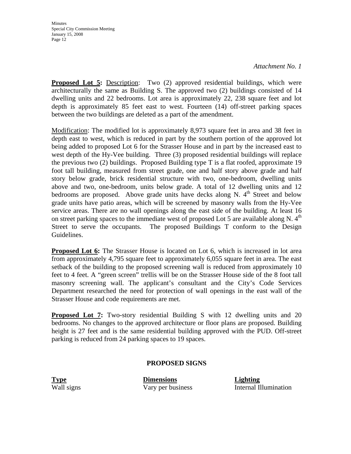*Attachment No. 1*

**Proposed Lot 5:** Description: Two (2) approved residential buildings, which were architecturally the same as Building S. The approved two (2) buildings consisted of 14 dwelling units and 22 bedrooms. Lot area is approximately 22, 238 square feet and lot depth is approximately 85 feet east to west. Fourteen (14) off-street parking spaces between the two buildings are deleted as a part of the amendment.

Modification: The modified lot is approximately 8,973 square feet in area and 38 feet in depth east to west, which is reduced in part by the southern portion of the approved lot being added to proposed Lot 6 for the Strasser House and in part by the increased east to west depth of the Hy-Vee building. Three (3) proposed residential buildings will replace the previous two (2) buildings. Proposed Building type T is a flat roofed, approximate 19 foot tall building, measured from street grade, one and half story above grade and half story below grade, brick residential structure with two, one-bedroom, dwelling units above and two, one-bedroom, units below grade. A total of 12 dwelling units and 12 bedrooms are proposed. Above grade units have decks along N.  $4<sup>th</sup>$  Street and below grade units have patio areas, which will be screened by masonry walls from the Hy-Vee service areas. There are no wall openings along the east side of the building. At least 16 on street parking spaces to the immediate west of proposed Lot 5 are available along N.  $4<sup>th</sup>$ Street to serve the occupants. The proposed Buildings T conform to the Design Guidelines.

**Proposed Lot 6:** The Strasser House is located on Lot 6, which is increased in lot area from approximately 4,795 square feet to approximately 6,055 square feet in area. The east setback of the building to the proposed screening wall is reduced from approximately 10 feet to 4 feet. A "green screen" trellis will be on the Strasser House side of the 8 foot tall masonry screening wall. The applicant's consultant and the City's Code Services Department researched the need for protection of wall openings in the east wall of the Strasser House and code requirements are met.

**Proposed Lot 7:** Two-story residential Building S with 12 dwelling units and 20 bedrooms. No changes to the approved architecture or floor plans are proposed. Building height is 27 feet and is the same residential building approved with the PUD. Off-street parking is reduced from 24 parking spaces to 19 spaces.

#### **PROPOSED SIGNS**

**Type Dimensions Lighting**

Wall signs Vary per business Internal Illumination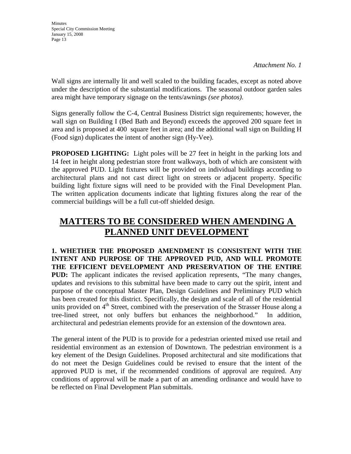Wall signs are internally lit and well scaled to the building facades, except as noted above under the description of the substantial modifications. The seasonal outdoor garden sales area might have temporary signage on the tents/awnings *(see photos)*.

Signs generally follow the C-4, Central Business District sign requirements; however, the wall sign on Building I (Bed Bath and Beyond) exceeds the approved 200 square feet in area and is proposed at 400 square feet in area; and the additional wall sign on Building H (Food sign) duplicates the intent of another sign (Hy-Vee).

**PROPOSED LIGHTING:** Light poles will be 27 feet in height in the parking lots and 14 feet in height along pedestrian store front walkways, both of which are consistent with the approved PUD. Light fixtures will be provided on individual buildings according to architectural plans and not cast direct light on streets or adjacent property. Specific building light fixture signs will need to be provided with the Final Development Plan. The written application documents indicate that lighting fixtures along the rear of the commercial buildings will be a full cut-off shielded design.

# **MATTERS TO BE CONSIDERED WHEN AMENDING A PLANNED UNIT DEVELOPMENT**

**1. WHETHER THE PROPOSED AMENDMENT IS CONSISTENT WITH THE INTENT AND PURPOSE OF THE APPROVED PUD, AND WILL PROMOTE THE EFFICIENT DEVELOPMENT AND PRESERVATION OF THE ENTIRE PUD:** The applicant indicates the revised application represents, "The many changes, updates and revisions to this submittal have been made to carry out the spirit, intent and purpose of the conceptual Master Plan, Design Guidelines and Preliminary PUD which has been created for this district. Specifically, the design and scale of all of the residential units provided on  $4<sup>th</sup>$  Street, combined with the preservation of the Strasser House along a tree-lined street, not only buffers but enhances the neighborhood." In addition, architectural and pedestrian elements provide for an extension of the downtown area.

The general intent of the PUD is to provide for a pedestrian oriented mixed use retail and residential environment as an extension of Downtown. The pedestrian environment is a key element of the Design Guidelines. Proposed architectural and site modifications that do not meet the Design Guidelines could be revised to ensure that the intent of the approved PUD is met, if the recommended conditions of approval are required. Any conditions of approval will be made a part of an amending ordinance and would have to be reflected on Final Development Plan submittals.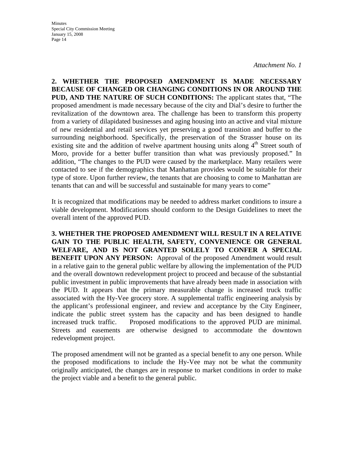*Attachment No. 1*

**2. WHETHER THE PROPOSED AMENDMENT IS MADE NECESSARY BECAUSE OF CHANGED OR CHANGING CONDITIONS IN OR AROUND THE PUD, AND THE NATURE OF SUCH CONDITIONS:** The applicant states that, "The proposed amendment is made necessary because of the city and Dial's desire to further the revitalization of the downtown area. The challenge has been to transform this property from a variety of dilapidated businesses and aging housing into an active and vital mixture of new residential and retail services yet preserving a good transition and buffer to the surrounding neighborhood. Specifically, the preservation of the Strasser house on its existing site and the addition of twelve apartment housing units along 4<sup>th</sup> Street south of Moro, provide for a better buffer transition than what was previously proposed." In addition, "The changes to the PUD were caused by the marketplace. Many retailers were contacted to see if the demographics that Manhattan provides would be suitable for their type of store. Upon further review, the tenants that are choosing to come to Manhattan are tenants that can and will be successful and sustainable for many years to come"

It is recognized that modifications may be needed to address market conditions to insure a viable development. Modifications should conform to the Design Guidelines to meet the overall intent of the approved PUD.

**3. WHETHER THE PROPOSED AMENDMENT WILL RESULT IN A RELATIVE GAIN TO THE PUBLIC HEALTH, SAFETY, CONVENIENCE OR GENERAL WELFARE, AND IS NOT GRANTED SOLELY TO CONFER A SPECIAL BENEFIT UPON ANY PERSON:** Approval of the proposed Amendment would result in a relative gain to the general public welfare by allowing the implementation of the PUD and the overall downtown redevelopment project to proceed and because of the substantial public investment in public improvements that have already been made in association with the PUD. It appears that the primary measurable change is increased truck traffic associated with the Hy-Vee grocery store. A supplemental traffic engineering analysis by the applicant's professional engineer, and review and acceptance by the City Engineer, indicate the public street system has the capacity and has been designed to handle increased truck traffic. Proposed modifications to the approved PUD are minimal. Streets and easements are otherwise designed to accommodate the downtown redevelopment project.

The proposed amendment will not be granted as a special benefit to any one person. While the proposed modifications to include the Hy-Vee may not be what the community originally anticipated, the changes are in response to market conditions in order to make the project viable and a benefit to the general public.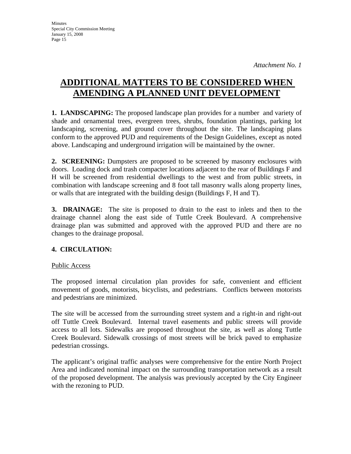# **ADDITIONAL MATTERS TO BE CONSIDERED WHEN AMENDING A PLANNED UNIT DEVELOPMENT**

**1. LANDSCAPING:** The proposed landscape plan provides for a number and variety of shade and ornamental trees, evergreen trees, shrubs, foundation plantings, parking lot landscaping, screening, and ground cover throughout the site. The landscaping plans conform to the approved PUD and requirements of the Design Guidelines, except as noted above. Landscaping and underground irrigation will be maintained by the owner.

**2. SCREENING:** Dumpsters are proposed to be screened by masonry enclosures with doors. Loading dock and trash compacter locations adjacent to the rear of Buildings F and H will be screened from residential dwellings to the west and from public streets, in combination with landscape screening and 8 foot tall masonry walls along property lines, or walls that are integrated with the building design (Buildings F, H and T).

**3. DRAINAGE:** The site is proposed to drain to the east to inlets and then to the drainage channel along the east side of Tuttle Creek Boulevard. A comprehensive drainage plan was submitted and approved with the approved PUD and there are no changes to the drainage proposal.

## **4. CIRCULATION:**

## Public Access

The proposed internal circulation plan provides for safe, convenient and efficient movement of goods, motorists, bicyclists, and pedestrians. Conflicts between motorists and pedestrians are minimized.

The site will be accessed from the surrounding street system and a right-in and right-out off Tuttle Creek Boulevard. Internal travel easements and public streets will provide access to all lots. Sidewalks are proposed throughout the site, as well as along Tuttle Creek Boulevard. Sidewalk crossings of most streets will be brick paved to emphasize pedestrian crossings.

The applicant's original traffic analyses were comprehensive for the entire North Project Area and indicated nominal impact on the surrounding transportation network as a result of the proposed development. The analysis was previously accepted by the City Engineer with the rezoning to PUD.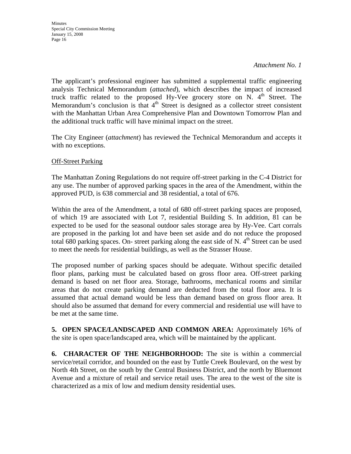*Attachment No. 1*

The applicant's professional engineer has submitted a supplemental traffic engineering analysis Technical Memorandum (*attached*), which describes the impact of increased truck traffic related to the proposed Hy-Vee grocery store on N.  $4<sup>th</sup>$  Street. The Memorandum's conclusion is that  $4<sup>th</sup>$  Street is designed as a collector street consistent with the Manhattan Urban Area Comprehensive Plan and Downtown Tomorrow Plan and the additional truck traffic will have minimal impact on the street.

The City Engineer (*attachment*) has reviewed the Technical Memorandum and accepts it with no exceptions.

**Off-Street Parking** 

The Manhattan Zoning Regulations do not require off-street parking in the C-4 District for any use. The number of approved parking spaces in the area of the Amendment, within the approved PUD, is 638 commercial and 38 residential, a total of 676.

Within the area of the Amendment, a total of 680 off-street parking spaces are proposed, of which 19 are associated with Lot 7, residential Building S. In addition, 81 can be expected to be used for the seasonal outdoor sales storage area by Hy-Vee. Cart corrals are proposed in the parking lot and have been set aside and do not reduce the proposed total 680 parking spaces. On- street parking along the east side of N.  $4<sup>th</sup>$  Street can be used to meet the needs for residential buildings, as well as the Strasser House.

The proposed number of parking spaces should be adequate. Without specific detailed floor plans, parking must be calculated based on gross floor area. Off-street parking demand is based on net floor area. Storage, bathrooms, mechanical rooms and similar areas that do not create parking demand are deducted from the total floor area. It is assumed that actual demand would be less than demand based on gross floor area. It should also be assumed that demand for every commercial and residential use will have to be met at the same time.

**5. OPEN SPACE/LANDSCAPED AND COMMON AREA:** Approximately 16% of the site is open space/landscaped area, which will be maintained by the applicant.

**6. CHARACTER OF THE NEIGHBORHOOD:** The site is within a commercial service/retail corridor, and bounded on the east by Tuttle Creek Boulevard, on the west by North 4th Street, on the south by the Central Business District, and the north by Bluemont Avenue and a mixture of retail and service retail uses. The area to the west of the site is characterized as a mix of low and medium density residential uses.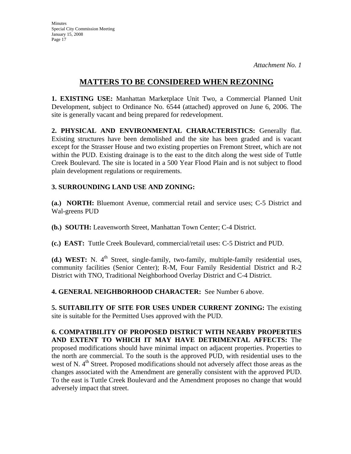## **MATTERS TO BE CONSIDERED WHEN REZONING**

**1. EXISTING USE:** Manhattan Marketplace Unit Two, a Commercial Planned Unit Development, subject to Ordinance No. 6544 (attached) approved on June 6, 2006. The site is generally vacant and being prepared for redevelopment.

**2. PHYSICAL AND ENVIRONMENTAL CHARACTERISTICS:** Generally flat. Existing structures have been demolished and the site has been graded and is vacant except for the Strasser House and two existing properties on Fremont Street, which are not within the PUD. Existing drainage is to the east to the ditch along the west side of Tuttle Creek Boulevard. The site is located in a 500 Year Flood Plain and is not subject to flood plain development regulations or requirements.

### **3. SURROUNDING LAND USE AND ZONING:**

**(a.) NORTH:** Bluemont Avenue, commercial retail and service uses; C-5 District and Wal-greens PUD

**(b.) SOUTH:** Leavenworth Street, Manhattan Town Center; C-4 District.

**(c.) EAST:** Tuttle Creek Boulevard, commercial/retail uses: C-5 District and PUD.

**(d.) WEST:** N. 4<sup>th</sup> Street, single-family, two-family, multiple-family residential uses, community facilities (Senior Center); R-M, Four Family Residential District and R-2 District with TNO, Traditional Neighborhood Overlay District and C-4 District.

**4. GENERAL NEIGHBORHOOD CHARACTER:** See Number 6 above.

**5. SUITABILITY OF SITE FOR USES UNDER CURRENT ZONING:** The existing site is suitable for the Permitted Uses approved with the PUD.

**6. COMPATIBILITY OF PROPOSED DISTRICT WITH NEARBY PROPERTIES AND EXTENT TO WHICH IT MAY HAVE DETRIMENTAL AFFECTS:** The proposed modifications should have minimal impact on adjacent properties. Properties to the north are commercial. To the south is the approved PUD, with residential uses to the west of N. 4<sup>th</sup> Street. Proposed modifications should not adversely affect those areas as the changes associated with the Amendment are generally consistent with the approved PUD. To the east is Tuttle Creek Boulevard and the Amendment proposes no change that would adversely impact that street.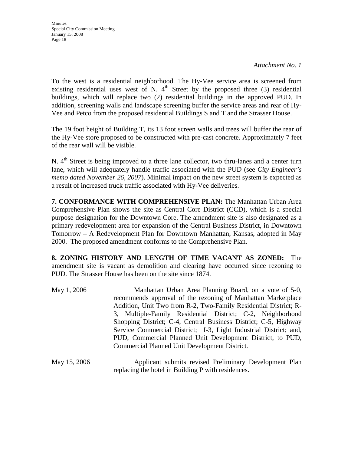*Attachment No. 1*

To the west is a residential neighborhood. The Hy-Vee service area is screened from existing residential uses west of N.  $4<sup>th</sup>$  Street by the proposed three (3) residential buildings, which will replace two (2) residential buildings in the approved PUD. In addition, screening walls and landscape screening buffer the service areas and rear of Hy-Vee and Petco from the proposed residential Buildings S and T and the Strasser House.

The 19 foot height of Building T, its 13 foot screen walls and trees will buffer the rear of the Hy-Vee store proposed to be constructed with pre-cast concrete. Approximately 7 feet of the rear wall will be visible.

N. 4<sup>th</sup> Street is being improved to a three lane collector, two thru-lanes and a center turn lane, which will adequately handle traffic associated with the PUD (see *City Engineer's memo dated November 26, 2007*). Minimal impact on the new street system is expected as a result of increased truck traffic associated with Hy-Vee deliveries.

**7. CONFORMANCE WITH COMPREHENSIVE PLAN:** The Manhattan Urban Area Comprehensive Plan shows the site as Central Core District (CCD), which is a special purpose designation for the Downtown Core. The amendment site is also designated as a primary redevelopment area for expansion of the Central Business District, in Downtown Tomorrow – A Redevelopment Plan for Downtown Manhattan, Kansas, adopted in May 2000. The proposed amendment conforms to the Comprehensive Plan.

**8. ZONING HISTORY AND LENGTH OF TIME VACANT AS ZONED:** The amendment site is vacant as demolition and clearing have occurred since rezoning to PUD. The Strasser House has been on the site since 1874.

| May 1, 2006  | Manhattan Urban Area Planning Board, on a vote of 5-0,<br>recommends approval of the rezoning of Manhattan Marketplace<br>Addition, Unit Two from R-2, Two-Family Residential District; R-<br>3, Multiple-Family Residential District; C-2, Neighborhood<br>Shopping District; C-4, Central Business District; C-5, Highway<br>Service Commercial District; I-3, Light Industrial District; and,<br>PUD, Commercial Planned Unit Development District, to PUD,<br>Commercial Planned Unit Development District. |
|--------------|-----------------------------------------------------------------------------------------------------------------------------------------------------------------------------------------------------------------------------------------------------------------------------------------------------------------------------------------------------------------------------------------------------------------------------------------------------------------------------------------------------------------|
| May 15, 2006 | Applicant submits revised Preliminary Development Plan                                                                                                                                                                                                                                                                                                                                                                                                                                                          |

replacing the hotel in Building P with residences.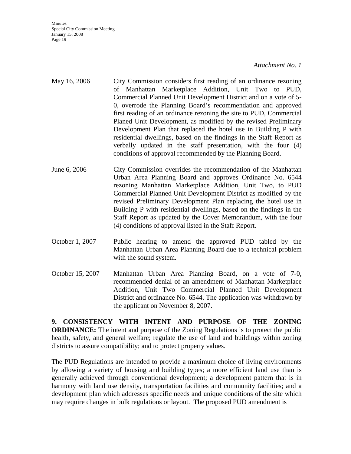#### *Attachment No. 1*

- May 16, 2006 City Commission considers first reading of an ordinance rezoning of Manhattan Marketplace Addition, Unit Two to PUD, Commercial Planned Unit Development District and on a vote of 5- 0, overrode the Planning Board's recommendation and approved first reading of an ordinance rezoning the site to PUD, Commercial Planed Unit Development, as modified by the revised Preliminary Development Plan that replaced the hotel use in Building P with residential dwellings, based on the findings in the Staff Report as verbally updated in the staff presentation, with the four (4) conditions of approval recommended by the Planning Board.
- June 6, 2006 City Commission overrides the recommendation of the Manhattan Urban Area Planning Board and approves Ordinance No. 6544 rezoning Manhattan Marketplace Addition, Unit Two, to PUD Commercial Planned Unit Development District as modified by the revised Preliminary Development Plan replacing the hotel use in Building P with residential dwellings, based on the findings in the Staff Report as updated by the Cover Memorandum, with the four (4) conditions of approval listed in the Staff Report.
- October 1, 2007 Public hearing to amend the approved PUD tabled by the Manhattan Urban Area Planning Board due to a technical problem with the sound system.
- October 15, 2007 Manhattan Urban Area Planning Board, on a vote of 7-0, recommended denial of an amendment of Manhattan Marketplace Addition, Unit Two Commercial Planned Unit Development District and ordinance No. 6544. The application was withdrawn by the applicant on November 8, 2007.

**9. CONSISTENCY WITH INTENT AND PURPOSE OF THE ZONING ORDINANCE:** The intent and purpose of the Zoning Regulations is to protect the public health, safety, and general welfare; regulate the use of land and buildings within zoning districts to assure compatibility; and to protect property values.

The PUD Regulations are intended to provide a maximum choice of living environments by allowing a variety of housing and building types; a more efficient land use than is generally achieved through conventional development; a development pattern that is in harmony with land use density, transportation facilities and community facilities; and a development plan which addresses specific needs and unique conditions of the site which may require changes in bulk regulations or layout. The proposed PUD amendment is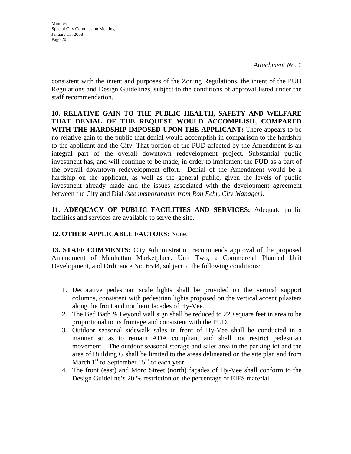**Minutes** Special City Commission Meeting January 15, 2008 Page 20

consistent with the intent and purposes of the Zoning Regulations, the intent of the PUD Regulations and Design Guidelines, subject to the conditions of approval listed under the staff recommendation.

**10. RELATIVE GAIN TO THE PUBLIC HEALTH, SAFETY AND WELFARE THAT DENIAL OF THE REQUEST WOULD ACCOMPLISH, COMPARED WITH THE HARDSHIP IMPOSED UPON THE APPLICANT:** There appears to be no relative gain to the public that denial would accomplish in comparison to the hardship to the applicant and the City. That portion of the PUD affected by the Amendment is an integral part of the overall downtown redevelopment project. Substantial public investment has, and will continue to be made, in order to implement the PUD as a part of the overall downtown redevelopment effort. Denial of the Amendment would be a hardship on the applicant, as well as the general public, given the levels of public investment already made and the issues associated with the development agreement between the City and Dial *(see memorandum from Ron Fehr, City Manager)*.

**11. ADEQUACY OF PUBLIC FACILITIES AND SERVICES:** Adequate public facilities and services are available to serve the site.

## **12. OTHER APPLICABLE FACTORS:** None.

**13. STAFF COMMENTS:** City Administration recommends approval of the proposed Amendment of Manhattan Marketplace, Unit Two, a Commercial Planned Unit Development, and Ordinance No. 6544, subject to the following conditions:

- 1. Decorative pedestrian scale lights shall be provided on the vertical support columns, consistent with pedestrian lights proposed on the vertical accent pilasters along the front and northern facades of Hy-Vee.
- 2. The Bed Bath & Beyond wall sign shall be reduced to 220 square feet in area to be proportional to its frontage and consistent with the PUD.
- 3. Outdoor seasonal sidewalk sales in front of Hy-Vee shall be conducted in a manner so as to remain ADA compliant and shall not restrict pedestrian movement. The outdoor seasonal storage and sales area in the parking lot and the area of Building G shall be limited to the areas delineated on the site plan and from March  $1<sup>st</sup>$  to September  $15<sup>th</sup>$  of each year.
- 4. The front (east) and Moro Street (north) façades of Hy-Vee shall conform to the Design Guideline's 20 % restriction on the percentage of EIFS material.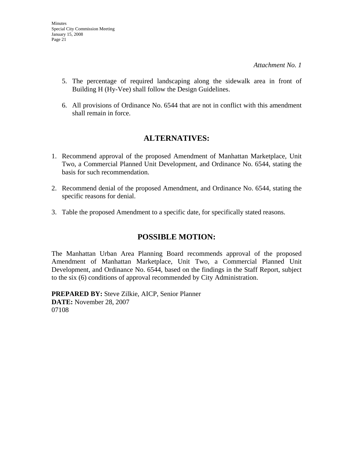- 5. The percentage of required landscaping along the sidewalk area in front of Building H (Hy-Vee) shall follow the Design Guidelines.
- 6. All provisions of Ordinance No. 6544 that are not in conflict with this amendment shall remain in force.

# **ALTERNATIVES:**

- 1. Recommend approval of the proposed Amendment of Manhattan Marketplace, Unit Two, a Commercial Planned Unit Development, and Ordinance No. 6544, stating the basis for such recommendation.
- 2. Recommend denial of the proposed Amendment, and Ordinance No. 6544, stating the specific reasons for denial.
- 3. Table the proposed Amendment to a specific date, for specifically stated reasons.

# **POSSIBLE MOTION:**

The Manhattan Urban Area Planning Board recommends approval of the proposed Amendment of Manhattan Marketplace, Unit Two, a Commercial Planned Unit Development, and Ordinance No. 6544, based on the findings in the Staff Report, subject to the six (6) conditions of approval recommended by City Administration.

**PREPARED BY:** Steve Zilkie, AICP, Senior Planner **DATE:** November 28, 2007 07108